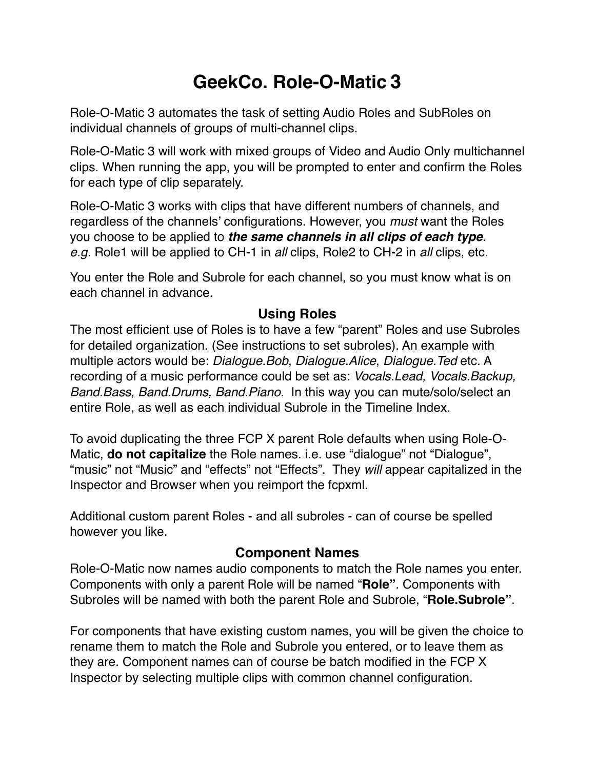# **GeekCo. Role-O-Matic 3**

Role-O-Matic 3 automates the task of setting Audio Roles and SubRoles on individual channels of groups of multi-channel clips.

Role-O-Matic 3 will work with mixed groups of Video and Audio Only multichannel clips. When running the app, you will be prompted to enter and confirm the Roles for each type of clip separately.

Role-O-Matic 3 works with clips that have different numbers of channels, and regardless of the channels' configurations. However, you *must* want the Roles you choose to be applied to *the same channels in all clips of each type. e.g.* Role1 will be applied to CH-1 in *all* clips, Role2 to CH-2 in *all* clips, etc.

You enter the Role and Subrole for each channel, so you must know what is on each channel in advance.

### **Using Roles**

The most efficient use of Roles is to have a few "parent" Roles and use Subroles for detailed organization. (See instructions to set subroles). An example with multiple actors would be: *Dialogue.Bob*, *Dialogue.Alice*, *Dialogue.Ted* etc. A recording of a music performance could be set as: *Vocals.Lead, Vocals.Backup, Band.Bass, Band.Drums, Band.Piano.* In this way you can mute/solo/select an entire Role, as well as each individual Subrole in the Timeline Index.

To avoid duplicating the three FCP X parent Role defaults when using Role-O-Matic, **do not capitalize** the Role names. i.e. use "dialogue" not "Dialogue", "music" not "Music" and "effects" not "Effects". They *will* appear capitalized in the Inspector and Browser when you reimport the fcpxml.

Additional custom parent Roles - and all subroles - can of course be spelled however you like.

#### **Component Names**

Role-O-Matic now names audio components to match the Role names you enter. Components with only a parent Role will be named "**Role"**. Components with Subroles will be named with both the parent Role and Subrole, "**Role.Subrole"**.

For components that have existing custom names, you will be given the choice to rename them to match the Role and Subrole you entered, or to leave them as they are. Component names can of course be batch modified in the FCP X Inspector by selecting multiple clips with common channel configuration.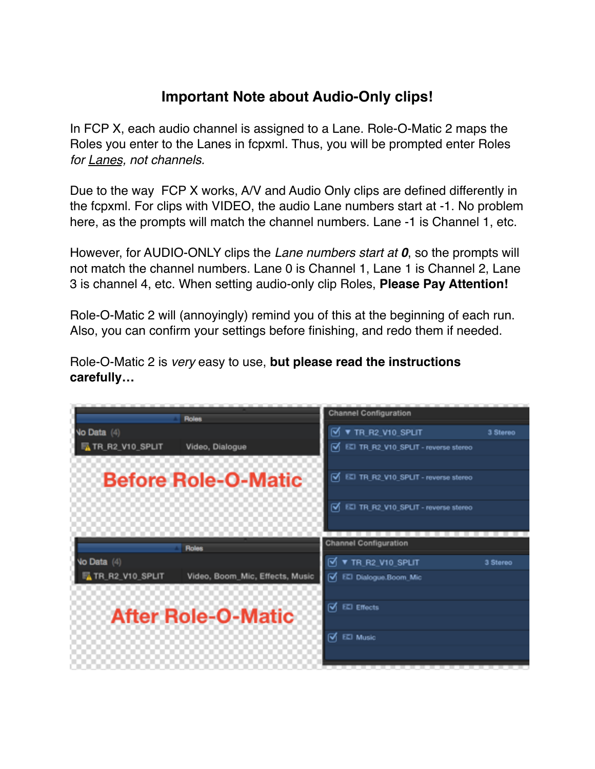## **Important Note about Audio-Only clips!**

In FCP X, each audio channel is assigned to a Lane. Role-O-Matic 2 maps the Roles you enter to the Lanes in fcpxml. Thus, you will be prompted enter Roles *for Lanes, not channels.*

Due to the way FCP X works, A/V and Audio Only clips are defined differently in the fcpxml. For clips with VIDEO, the audio Lane numbers start at -1. No problem here, as the prompts will match the channel numbers. Lane -1 is Channel 1, etc.

However, for AUDIO-ONLY clips the *Lane numbers start at 0*, so the prompts will not match the channel numbers. Lane 0 is Channel 1, Lane 1 is Channel 2, Lane 3 is channel 4, etc. When setting audio-only clip Roles, **Please Pay Attention!**

Role-O-Matic 2 will (annoyingly) remind you of this at the beginning of each run. Also, you can confirm your settings before finishing, and redo them if needed.

Role-O-Matic 2 is *very* easy to use, **but please read the instructions carefully…**

| <b>Roles</b>                                       | <b>Channel Configuration</b>               |          |
|----------------------------------------------------|--------------------------------------------|----------|
| No Data (4)                                        | <b>V TR R2 V10 SPLIT</b>                   | 3 Stereo |
| TR_R2_V10_SPLIT<br>Video, Dialogue                 | V EZI TR_R2_V10_SPLIT - reverse stereo     |          |
| <b>Before Role-O-Matic</b>                         | ৰে<br>EZI TR_R2_V10_SPLIT - reverse stereo |          |
|                                                    |                                            |          |
|                                                    | V EZI TR_R2_V10_SPLIT - reverse stereo     |          |
|                                                    |                                            |          |
| <b>Roles</b>                                       | <b>Channel Configuration</b>               |          |
| <b>Vo Data</b> (4)                                 | $\sqrt{9}$ <b>v</b> TR R2 V10 SPLIT        | 3 Stereo |
| TR_R2_V10_SPLIT<br>Video, Boom_Mic, Effects, Music | V EL Dialogue.Boom_Mic                     |          |
|                                                    |                                            |          |
|                                                    |                                            |          |
|                                                    | <b>EZI Effects</b><br>☞                    |          |
| <b>After Role-O-Matic</b>                          |                                            |          |
|                                                    | ☞<br>EZI Music                             |          |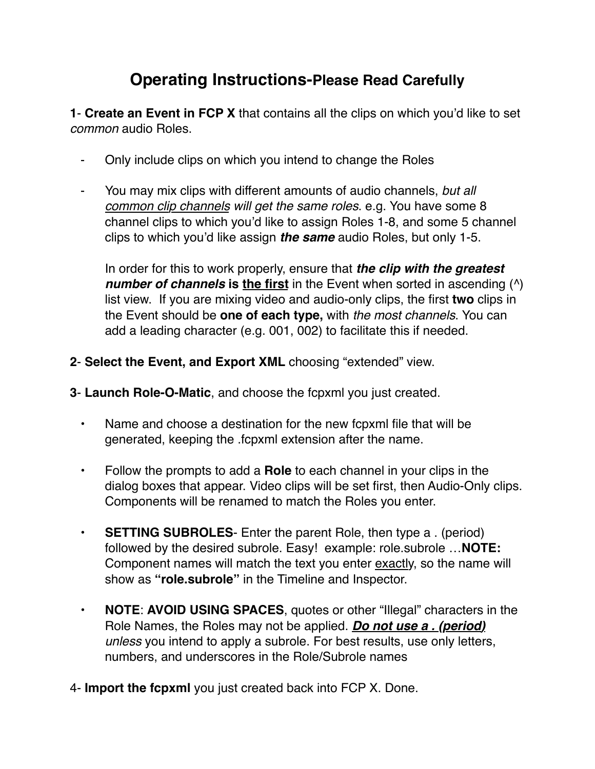## **Operating Instructions-Please Read Carefully**

**1**- **Create an Event in FCP X** that contains all the clips on which you'd like to set *common* audio Roles.

- ⁃ Only include clips on which you intend to change the Roles
- ⁃ You may mix clips with different amounts of audio channels, *but all common clip channels will get the same roles*. e.g. You have some 8 channel clips to which you'd like to assign Roles 1-8, and some 5 channel clips to which you'd like assign *the same* audio Roles, but only 1-5.

In order for this to work properly, ensure that *the clip with the greatest number of channels* is the first in the Event when sorted in ascending ( $\land$ ) list view. If you are mixing video and audio-only clips, the first **two** clips in the Event should be **one of each type,** with *the most channels*. You can add a leading character (e.g. 001, 002) to facilitate this if needed.

- **2 Select the Event, and Export XML** choosing "extended" view.
- **3 Launch Role-O-Matic**, and choose the fcpxml you just created.
	- **•** Name and choose a destination for the new fcpxml file that will be generated, keeping the .fcpxml extension after the name.
	- Follow the prompts to add a **Role** to each channel in your clips in the dialog boxes that appear. Video clips will be set first, then Audio-Only clips. Components will be renamed to match the Roles you enter.
	- **SETTING SUBROLES** Enter the parent Role, then type a . (period) followed by the desired subrole. Easy! example: role.subrole …**NOTE:** Component names will match the text you enter exactly, so the name will show as **"role.subrole"** in the Timeline and Inspector.
	- **NOTE**: **AVOID USING SPACES**, quotes or other "Illegal" characters in the Role Names, the Roles may not be applied. *Do not use a . (period) unless* you intend to apply a subrole. For best results, use only letters, numbers, and underscores in the Role/Subrole names
- 4- **Import the fcpxml** you just created back into FCP X. Done.